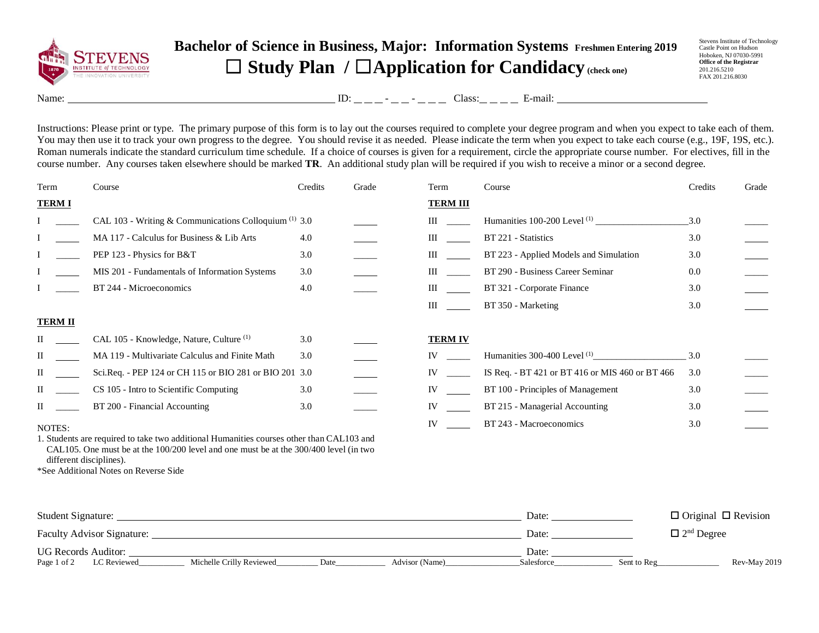

## **Bachelor of Science in Business, Major: Information Systems Freshmen Entering 2019** ☐ **Study Plan /** ☐**Application for Candidacy (check one)**

Stevens Institute of Technology Castle Point on Hudson Hoboken, NJ 07030-5991 **Office of the Registrar** 201.216.5210 FAX 201.216.8030

Name: ID: - - Class: E-mail:

Instructions: Please print or type. The primary purpose of this form is to lay out the courses required to complete your degree program and when you expect to take each of them. You may then use it to track your own progress to the degree. You should revise it as needed. Please indicate the term when you expect to take each course (e.g., 19F, 19S, etc.). Roman numerals indicate the standard curriculum time schedule. If a choice of courses is given for a requirement, circle the appropriate course number. For electives, fill in the course number. Any courses taken elsewhere should be marked **TR**. An additional study plan will be required if you wish to receive a minor or a second degree.

| Term                                                                                     | Course                                                  | Credits | Grade | Term            | Course                                          | Credits | Grade |
|------------------------------------------------------------------------------------------|---------------------------------------------------------|---------|-------|-----------------|-------------------------------------------------|---------|-------|
| <b>TERMI</b>                                                                             |                                                         |         |       | <b>TERM III</b> |                                                 |         |       |
|                                                                                          | CAL 103 - Writing & Communications Colloquium $(1)$ 3.0 |         |       | Ш               |                                                 | 3.0     |       |
|                                                                                          | MA 117 - Calculus for Business & Lib Arts               | 4.0     |       | Ш               | BT 221 - Statistics                             | 3.0     |       |
|                                                                                          | PEP 123 - Physics for B&T                               | 3.0     |       | Ш               | BT 223 - Applied Models and Simulation          | 3.0     |       |
|                                                                                          | MIS 201 - Fundamentals of Information Systems           | 3.0     |       | Ш               | BT 290 - Business Career Seminar                | 0.0     |       |
|                                                                                          | BT 244 - Microeconomics                                 | 4.0     |       | Ш               | BT 321 - Corporate Finance                      | 3.0     |       |
|                                                                                          |                                                         |         |       | III             | BT 350 - Marketing                              | 3.0     |       |
| <b>TERM II</b>                                                                           |                                                         |         |       |                 |                                                 |         |       |
|                                                                                          | CAL 105 - Knowledge, Nature, Culture <sup>(1)</sup>     | 3.0     |       | <b>TERM IV</b>  |                                                 |         |       |
| П                                                                                        | MA 119 - Multivariate Calculus and Finite Math          | 3.0     |       | IV              | Humanities 300-400 Level $^{(1)}$ 3.0           |         |       |
| П                                                                                        | Sci.Req. - PEP 124 or CH 115 or BIO 281 or BIO 201 3.0  |         |       | IV              | IS Req. - BT 421 or BT 416 or MIS 460 or BT 466 | 3.0     |       |
| П                                                                                        | CS 105 - Intro to Scientific Computing                  | 3.0     |       | IV              | BT 100 - Principles of Management               | 3.0     |       |
| H.                                                                                       | BT 200 - Financial Accounting                           | 3.0     |       | IV              | BT 215 - Managerial Accounting                  | 3.0     |       |
| NOTES:                                                                                   |                                                         |         |       | IV              | BT 243 - Macroeconomics                         | 3.0     |       |
| 1. Students are required to take two additional Humanities courses other than CAL103 and |                                                         |         |       |                 |                                                 |         |       |

CAL105. One must be at the 100/200 level and one must be at the 300/400 level (in two different disciplines). \*See Additional Notes on Reverse Side

| Student Signature:                                                               | Date:      | $\Box$ Original $\Box$ Revision |
|----------------------------------------------------------------------------------|------------|---------------------------------|
| Faculty Advisor Signature:                                                       | Date:      | $\Box$ 2 <sup>nd</sup> Degree   |
| <b>UG Records Auditor:</b>                                                       | Date:      |                                 |
| LC Reviewed<br>Michelle Crilly Reviewed<br>Date<br>Advisor (Name)<br>Page 1 of 2 | Salesforce | Rev-May 2019<br>Sent to Reg     |